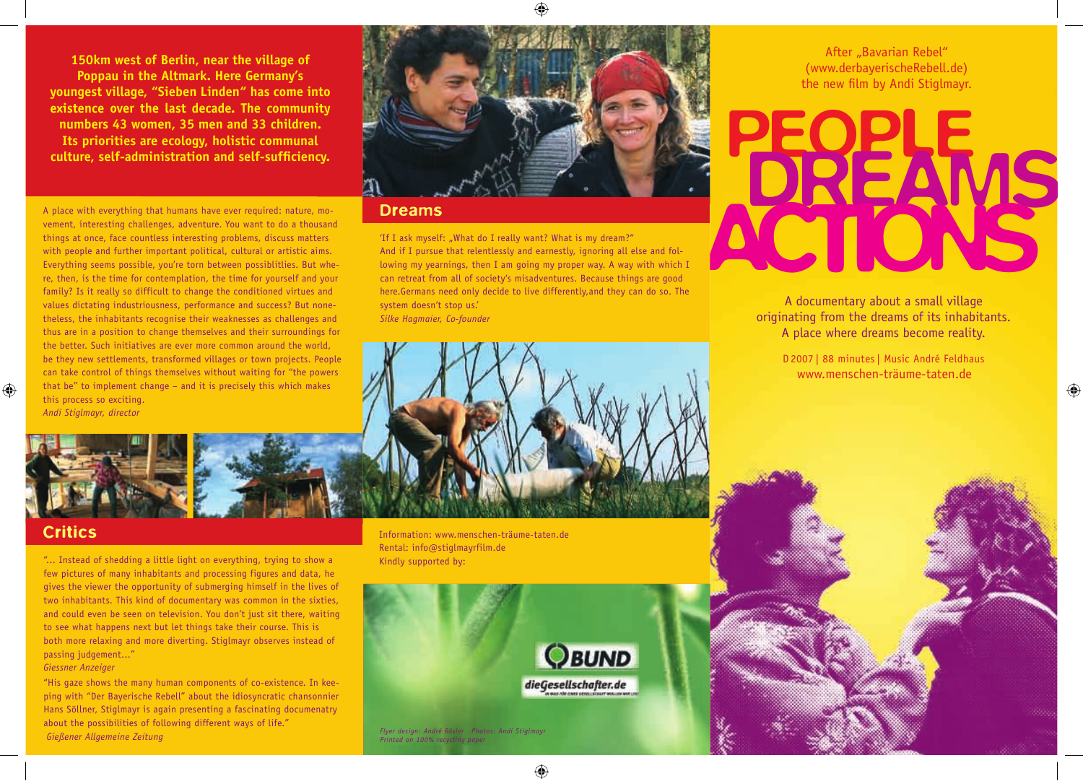**150km west of Berlin, near the village of Poppau in the Altmark. Here Germany's youngest village, "Sieben Linden" has come into existence over the last decade. The community numbers 43 women, 35 men and 33 children. Its priorities are ecology, holistic communal culture, self-administration and self-suffi ciency.**



## Dreams

'If I ask myself: "What do I really want? What is my dream?" And if I pursue that relentlessly and earnestly, ignoring all else and following my yearnings, then I am going my proper way. A way with which I can retreat from all of society's misadventures. Because things are good here.Germans need only decide to live differently,and they can do so. The system doesn't stop us.' *Silke Hagmaier, Co-founder*

After "Bavarian Rebel" (www.derbayerischeRebell.de) the new film by Andi Stiglmayr.



A documentary about a small village originating from the dreams of its inhabitants. A place where dreams become reality.

D 2007 | 88 minutes | Music André Feldhaus www.menschen-träume-taten.de

⊕

A place with everything that humans have ever required: nature, movement, interesting challenges, adventure. You want to do a thousand things at once, face countless interesting problems, discuss matters with people and further important political, cultural or artistic aims. Everything seems possible, you're torn between possiblitlies. But where, then, is the time for contemplation, the time for yourself and your family? Is it really so difficult to change the conditioned virtues and values dictating industriousness, performance and success? But nonetheless, the inhabitants recognise their weaknesses as challenges and thus are in a position to change themselves and their surroundings for the better. Such initiatives are ever more common around the world, be they new settlements, transformed villages or town projects. People can take control of things themselves without waiting for "the powers that be" to implement change – and it is precisely this which makes this process so exciting. *Andi Stiglmayr, director*

 $\bigoplus$ 

# **Critics**

"... Instead of shedding a little light on everything, trying to show a few pictures of many inhabitants and processing figures and data, he gives the viewer the opportunity of submerging himself in the lives of two inhabitants. This kind of documentary was common in the sixties, and could even be seen on television. You don't just sit there, waiting to see what happens next but let things take their course. This is both more relaxing and more diverting. Stiglmayr observes instead of passing judgement..."

## *Giessner Anzeiger*

"His gaze shows the many human components of co-existence. In keeping with "Der Bayerische Rebell" about the idiosyncratic chansonnier Hans Söllner, Stiglmayr is again presenting a fascinating documenatry about the possibilities of following different ways of life."  *Gießener Allgemeine Zeitung Flyer design: André Rösler Photos: Andi Stiglmayr* 

Information: www.menschen-träume-taten.de Rental: info@stiglmayrfilm.de Kindly supported by: